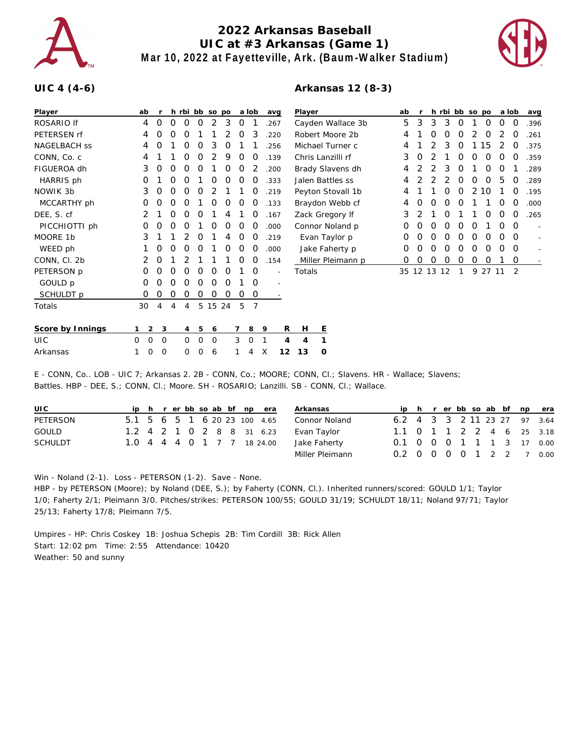

## **2022 Arkansas Baseball UIC at #3 Arkansas (Game 1) Mar 10, 2022 at Fayetteville, Ark. (Baum-Walker Stadium)**



## **UIC 4 (4-6)**

## **Arkansas 12 (8-3)**

| Player              | ab               |                |   |          |          | h rbi bb so po |          |                | a lob          | avq            | Player              | ab | r     |   |    | h rbi bb so po |   |          | a lob    |          | avg  |
|---------------------|------------------|----------------|---|----------|----------|----------------|----------|----------------|----------------|----------------|---------------------|----|-------|---|----|----------------|---|----------|----------|----------|------|
| ROSARIO If          | 4                | $\Omega$       | O | $\Omega$ | O        | 2              | 3        | O              |                | .267           | Cayden Wallace 3b   | 5  | 3     | 3 | 3  | 0              |   | 0        | 0        | $\Omega$ | .396 |
| PETERSEN rf         | 4                | O              | Ω | Ω        |          |                |          | $\Omega$       | 3              | .220           | Robert Moore 2b     | 4  |       | O | O  | O              |   | $\Omega$ |          | O        | .261 |
| <b>NAGELBACH SS</b> | 4                | 0              |   | 0        | 0        | 3              | O        |                |                | .256           | Michael Turner c    | 4  |       |   | 3  | 0              |   | 15       | 2        | 0        | .375 |
| CONN, Co. c         | 4                |                |   |          |          |                | 9        | O              |                | .139           | Chris Lanzilli rf   | 3  | O     |   |    |                |   |          |          | Ο        | .359 |
| FIGUEROA dh         | 3                | O              | Ω | Ω        | Ω        |                | O        | O              |                | .200           | Brady Slavens dh    | 4  |       |   | 3  | O              |   | O        | O        |          | .289 |
| HARRIS ph           | O                |                | 0 | O        |          | O              | 0        | $\Omega$       | O              | .333           | Jalen Battles ss    | 4  |       |   |    | 0              | 0 | 0        | 5        | 0        | .289 |
| NOWIK 3b            | 3                | 0              | O | O        | Ω        |                |          |                |                | .219           | Peyton Stovall 1b   | 4  |       |   |    | O              | 2 | 10       |          | 0        | .195 |
| MCCARTHY ph         | Ο                | Ο              | Ω |          |          | Ω              | Ο        | O              | O              | .133           | Braydon Webb cf     | 4  |       | O | O  | O              |   |          | O        | O        | .000 |
| DEE, S. cf          | 2                |                | 0 | O        | O        |                | 4        |                | O              | .167           | Zack Gregory If     | 3  |       |   | O  |                |   | 0        | 0        | 0        | .265 |
| PICCHIOTTI ph       | O                | O              | Ω |          |          |                | O        | O              | O              | .000           | Connor Noland p     | 0  |       |   | O  |                |   |          | O        | 0        |      |
| MOORE 1b            | 3                |                |   |          |          |                |          | $\Omega$       |                | .219           | Evan Taylor p       | 0  |       | O | O  | O              | O | O        | O        | $\Omega$ |      |
| WEED ph             |                  | 0              | O | 0        | O        |                | 0        | $\Omega$       | $\Omega$       | .000           | Jake Faherty p      | 0  | O     | O | 0  | 0              | 0 | 0        | $\Omega$ | 0        |      |
| CONN, Cl. 2b        | 2                | 0              |   |          |          |                |          | $\Omega$       | O              | .154           | Miller Pleimann p   | 0  | 0     | O | O  | O              | 0 | 0        |          | 0        |      |
| PETERSON p          | Ο                | Ο              | Ω | O        | Ω        | Ω              | O        |                | $\circ$        |                | Totals              | 35 | 12 13 |   | 12 |                | 9 | 27 11    |          | 2        |      |
| GOULD p             | 0                | O              | O | 0        | O        | 0              | $\Omega$ |                | 0              | $\overline{a}$ |                     |    |       |   |    |                |   |          |          |          |      |
| SCHULDT p           | 0                | 0              | O | O        | 0        | 0              | O        | 0              | 0              |                |                     |    |       |   |    |                |   |          |          |          |      |
| Totals              | 30               | 4              | 4 | 4        |          | 5 15 24        |          | 5              | $\overline{7}$ |                |                     |    |       |   |    |                |   |          |          |          |      |
| Score by Innings    |                  | 2 <sup>3</sup> |   | 4        | 5        | 6              |          | $\overline{7}$ | 8              | 9              | R<br>E<br>Н         |    |       |   |    |                |   |          |          |          |      |
| <b>UIC</b>          | $\mathbf 0$<br>0 | $\mathbf 0$    |   | $\Omega$ | $\Omega$ | $\mathbf 0$    |          | 3              | $\circ$        | $\mathbf 1$    | 1<br>4<br>4         |    |       |   |    |                |   |          |          |          |      |
| Arkansas            | 0                | 0              |   | 0        | Ω        | 6              |          |                | 4              | Χ              | 12<br>13<br>$\circ$ |    |       |   |    |                |   |          |          |          |      |

E - CONN, Co.. LOB - UIC 7; Arkansas 2. 2B - CONN, Co.; MOORE; CONN, Cl.; Slavens. HR - Wallace; Slavens; Battles. HBP - DEE, S.; CONN, Cl.; Moore. SH - ROSARIO; Lanzilli. SB - CONN, Cl.; Wallace.

| UI C           |  |  |  |  | ip h r er bb so ab bf np era | Arkansas        |                           |  |  |  |  | ip h r er bb so ab bf np era |
|----------------|--|--|--|--|------------------------------|-----------------|---------------------------|--|--|--|--|------------------------------|
| PETERSON       |  |  |  |  | 5.1 5 6 5 1 6 20 23 100 4.65 | Connor Noland   |                           |  |  |  |  | 6.2 4 3 3 2 11 23 27 97 3.64 |
| GOULD          |  |  |  |  | 1.2 4 2 1 0 2 8 8 31 6.23    | Evan Taylor     | 1.1 0 1 1 2 2 4 6 25 3.18 |  |  |  |  |                              |
| <b>SCHULDT</b> |  |  |  |  | 1.0 4 4 4 0 1 7 7 18 24.00   | Jake Faherty    | 0.1 0 0 0 1 1 1 3 17 0.00 |  |  |  |  |                              |
|                |  |  |  |  |                              | Miller Pleimann | 0.2 0 0 0 0 1 2 2 7 0.00  |  |  |  |  |                              |

Win - Noland (2-1). Loss - PETERSON (1-2). Save - None.

HBP - by PETERSON (Moore); by Noland (DEE, S.); by Faherty (CONN, Cl.). Inherited runners/scored: GOULD 1/1; Taylor 1/0; Faherty 2/1; Pleimann 3/0. Pitches/strikes: PETERSON 100/55; GOULD 31/19; SCHULDT 18/11; Noland 97/71; Taylor 25/13; Faherty 17/8; Pleimann 7/5.

Umpires - HP: Chris Coskey 1B: Joshua Schepis 2B: Tim Cordill 3B: Rick Allen Start: 12:02 pm Time: 2:55 Attendance: 10420 Weather: 50 and sunny